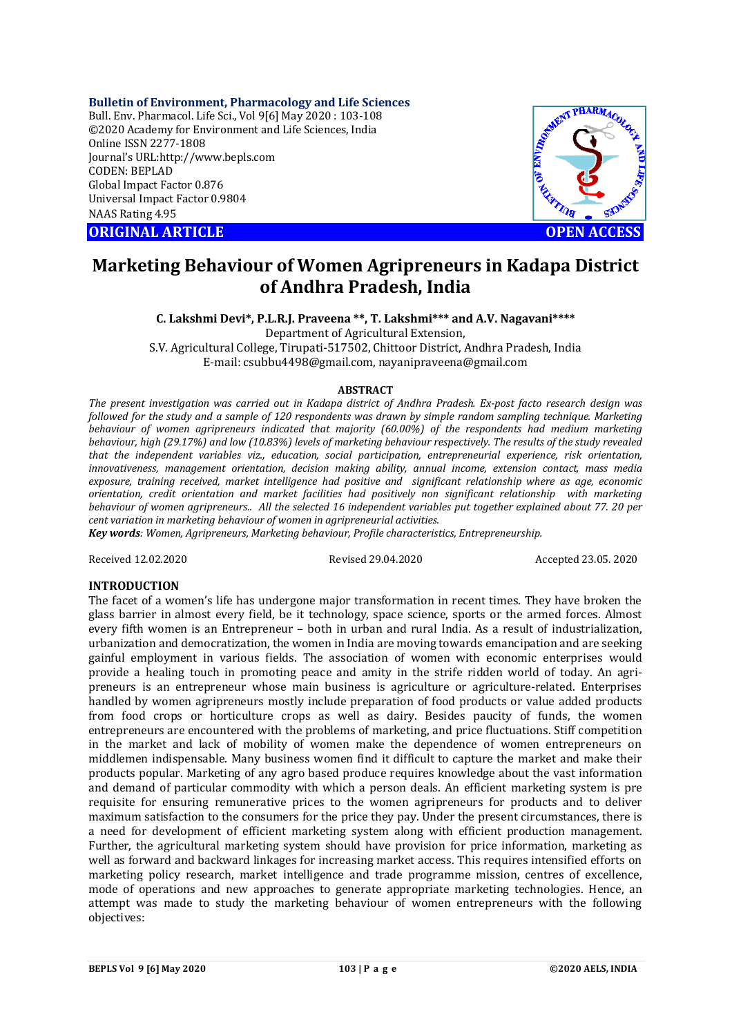**Bulletin of Environment, Pharmacology and Life Sciences**

Bull. Env. Pharmacol. Life Sci., Vol 9[6] May 2020 : 103-108 ©2020 Academy for Environment and Life Sciences, India Online ISSN 2277-1808 Journal's URL:<http://www.bepls.com> CODEN: BEPLAD Global Impact Factor 0.876 Universal Impact Factor 0.9804 NAAS Rating 4.95

**ORIGINAL ARTICLE** And the contract of the contract of the contract of the contract of the contract of the contract of the contract of the contract of the contract of the contract of the contract of the contract of the con



# **Marketing Behaviour of Women Agripreneurs in Kadapa District of Andhra Pradesh, India**

**C. Lakshmi Devi\*, P.L.R.J. Praveena \*\*, T. Lakshmi\*\*\* and A.V. Nagavani\*\*\*\*** Department of Agricultural Extension, S.V. Agricultural College, Tirupati-517502, Chittoor District, Andhra Pradesh, India E-mail: [csubbu4498@gmail.com,](mailto:csubbu4498@gmail.com,) [nayanipraveena@gmail.com](mailto:nayanipraveena@gmail.com)

## **ABSTRACT**

*The present investigation was carried out in Kadapa district of Andhra Pradesh. Ex-post facto research design was followed for the study and a sample of 120 respondents was drawn by simple random sampling technique. Marketing behaviour of women agripreneurs indicated that majority (60.00%) of the respondents had medium marketing behaviour, high (29.17%) and low (10.83%) levels of marketing behaviour respectively. The results of the study revealed that the independent variables viz., education, social participation, entrepreneurial experience, risk orientation, innovativeness, management orientation, decision making ability, annual income, extension contact, mass media exposure, training received, market intelligence had positive and significant relationship where as age, economic orientation, credit orientation and market facilities had positively non significant relationship with marketing behaviour of women agripreneurs.. All the selected 16 independent variables put together explained about 77. 20 per cent variation in marketing behaviour of women in agripreneurial activities.*

*Key words: Women, Agripreneurs, Marketing behaviour, Profile characteristics, Entrepreneurship.* 

Received 12.02.2020 Revised 29.04.2020 Accepted 23.05. 2020

## **INTRODUCTION**

The facet of a women's life has undergone major transformation in recent times. They have broken the glass barrier in almost every field, be it technology, space science, sports or the armed forces. Almost every fifth women is an Entrepreneur – both in urban and rural India. As a result of industrialization, urbanization and democratization, the women in India are moving towards emancipation and are seeking gainful employment in various fields. The association of women with economic enterprises would provide a healing touch in promoting peace and amity in the strife ridden world of today. An agripreneurs is an entrepreneur whose main business is agriculture or agriculture-related. Enterprises handled by women agripreneurs mostly include preparation of food products or value added products from food crops or horticulture crops as well as dairy. Besides paucity of funds, the women entrepreneurs are encountered with the problems of marketing, and price fluctuations. Stiff competition in the market and lack of mobility of women make the dependence of women entrepreneurs on middlemen indispensable. Many business women find it difficult to capture the market and make their products popular. Marketing of any agro based produce requires knowledge about the vast information and demand of particular commodity with which a person deals. An efficient marketing system is pre requisite for ensuring remunerative prices to the women agripreneurs for products and to deliver maximum satisfaction to the consumers for the price they pay. Under the present circumstances, there is a need for development of efficient marketing system along with efficient production management. Further, the agricultural marketing system should have provision for price information, marketing as well as forward and backward linkages for increasing market access. This requires intensified efforts on marketing policy research, market intelligence and trade programme mission, centres of excellence, mode of operations and new approaches to generate appropriate marketing technologies. Hence, an attempt was made to study the marketing behaviour of women entrepreneurs with the following objectives: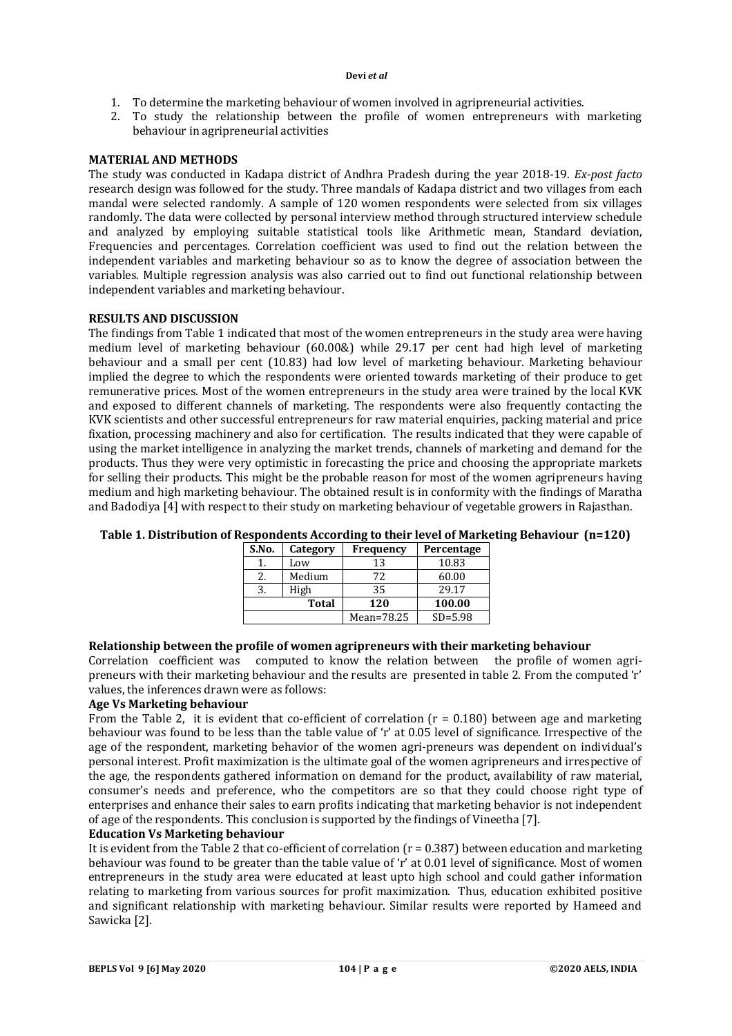- 1. To determine the marketing behaviour of women involved in agripreneurial activities.
- 2. To study the relationship between the profile of women entrepreneurs with marketing behaviour in agripreneurial activities

# **MATERIAL AND METHODS**

The study was conducted in Kadapa district of Andhra Pradesh during the year 2018-19. *Ex-post facto* research design was followed for the study. Three mandals of Kadapa district and two villages from each mandal were selected randomly. A sample of 120 women respondents were selected from six villages randomly. The data were collected by personal interview method through structured interview schedule and analyzed by employing suitable statistical tools like Arithmetic mean, Standard deviation, Frequencies and percentages. Correlation coefficient was used to find out the relation between the independent variables and marketing behaviour so as to know the degree of association between the variables. Multiple regression analysis was also carried out to find out functional relationship between independent variables and marketing behaviour.

## **RESULTS AND DISCUSSION**

The findings from Table 1 indicated that most of the women entrepreneurs in the study area were having medium level of marketing behaviour (60.00&) while 29.17 per cent had high level of marketing behaviour and a small per cent (10.83) had low level of marketing behaviour. Marketing behaviour implied the degree to which the respondents were oriented towards marketing of their produce to get remunerative prices. Most of the women entrepreneurs in the study area were trained by the local KVK and exposed to different channels of marketing. The respondents were also frequently contacting the KVK scientists and other successful entrepreneurs for raw material enquiries, packing material and price fixation, processing machinery and also for certification. The results indicated that they were capable of using the market intelligence in analyzing the market trends, channels of marketing and demand for the products. Thus they were very optimistic in forecasting the price and choosing the appropriate markets for selling their products. This might be the probable reason for most of the women agripreneurs having medium and high marketing behaviour. The obtained result is in conformity with the findings of Maratha and Badodiya [4] with respect to their study on marketing behaviour of vegetable growers in Rajasthan.

| S.No. | Category | <b>Frequency</b> | Percentage  |  |
|-------|----------|------------------|-------------|--|
|       | Low      | 13               | 10.83       |  |
|       | Medium   | 72               | 60.00       |  |
|       | High     | 35               | 29.17       |  |
| Total |          | 120              | 100.00      |  |
|       |          | Mean=78.25       | $SD = 5.98$ |  |

# **Table 1. Distribution of Respondents According to their level of Marketing Behaviour (n=120)**

## **Relationship between the profile of women agripreneurs with their marketing behaviour**

Correlation coefficient was computed to know the relation between the profile of women agripreneurs with their marketing behaviour and the results are presented in table 2. From the computed 'r' values, the inferences drawn were as follows:

## **Age Vs Marketing behaviour**

From the Table 2, it is evident that co-efficient of correlation  $(r = 0.180)$  between age and marketing behaviour was found to be less than the table value of 'r' at 0.05 level of significance. Irrespective of the age of the respondent, marketing behavior of the women agri-preneurs was dependent on individual's personal interest. Profit maximization is the ultimate goal of the women agripreneurs and irrespective of the age, the respondents gathered information on demand for the product, availability of raw material, consumer's needs and preference, who the competitors are so that they could choose right type of enterprises and enhance their sales to earn profits indicating that marketing behavior is not independent of age of the respondents. This conclusion is supported by the findings of Vineetha [7].

# **Education Vs Marketing behaviour**

It is evident from the Table 2 that co-efficient of correlation  $(r = 0.387)$  between education and marketing behaviour was found to be greater than the table value of 'r' at 0.01 level of significance. Most of women entrepreneurs in the study area were educated at least upto high school and could gather information relating to marketing from various sources for profit maximization. Thus, education exhibited positive and significant relationship with marketing behaviour. Similar results were reported by Hameed and Sawicka [2].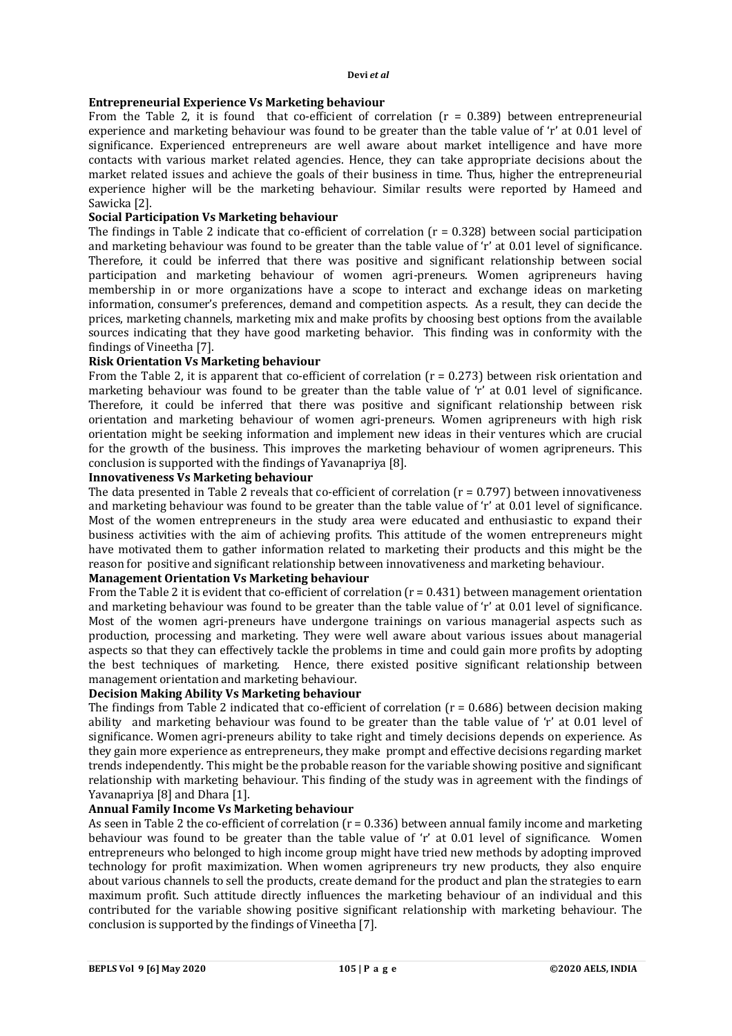# **Entrepreneurial Experience Vs Marketing behaviour**

From the Table 2, it is found that co-efficient of correlation ( $r = 0.389$ ) between entrepreneurial experience and marketing behaviour was found to be greater than the table value of 'r' at 0.01 level of significance. Experienced entrepreneurs are well aware about market intelligence and have more contacts with various market related agencies. Hence, they can take appropriate decisions about the market related issues and achieve the goals of their business in time. Thus, higher the entrepreneurial experience higher will be the marketing behaviour. Similar results were reported by Hameed and Sawicka [2].

## **Social Participation Vs Marketing behaviour**

The findings in Table 2 indicate that co-efficient of correlation  $(r = 0.328)$  between social participation and marketing behaviour was found to be greater than the table value of 'r' at 0.01 level of significance. Therefore, it could be inferred that there was positive and significant relationship between social participation and marketing behaviour of women agri-preneurs. Women agripreneurs having membership in or more organizations have a scope to interact and exchange ideas on marketing information, consumer's preferences, demand and competition aspects. As a result, they can decide the prices, marketing channels, marketing mix and make profits by choosing best options from the available sources indicating that they have good marketing behavior. This finding was in conformity with the findings of Vineetha [7].

## **Risk Orientation Vs Marketing behaviour**

From the Table 2, it is apparent that co-efficient of correlation  $(r = 0.273)$  between risk orientation and marketing behaviour was found to be greater than the table value of 'r' at 0.01 level of significance. Therefore, it could be inferred that there was positive and significant relationship between risk orientation and marketing behaviour of women agri-preneurs. Women agripreneurs with high risk orientation might be seeking information and implement new ideas in their ventures which are crucial for the growth of the business. This improves the marketing behaviour of women agripreneurs. This conclusion is supported with the findings of Yavanapriya [8].

## **Innovativeness Vs Marketing behaviour**

The data presented in Table 2 reveals that co-efficient of correlation  $(r = 0.797)$  between innovativeness and marketing behaviour was found to be greater than the table value of 'r' at 0.01 level of significance. Most of the women entrepreneurs in the study area were educated and enthusiastic to expand their business activities with the aim of achieving profits. This attitude of the women entrepreneurs might have motivated them to gather information related to marketing their products and this might be the reason for positive and significant relationship between innovativeness and marketing behaviour.

## **Management Orientation Vs Marketing behaviour**

From the Table 2 it is evident that co-efficient of correlation  $(r = 0.431)$  between management orientation and marketing behaviour was found to be greater than the table value of 'r' at 0.01 level of significance. Most of the women agri-preneurs have undergone trainings on various managerial aspects such as production, processing and marketing. They were well aware about various issues about managerial aspects so that they can effectively tackle the problems in time and could gain more profits by adopting the best techniques of marketing. Hence, there existed positive significant relationship between management orientation and marketing behaviour.

# **Decision Making Ability Vs Marketing behaviour**

The findings from Table 2 indicated that co-efficient of correlation  $(r = 0.686)$  between decision making ability and marketing behaviour was found to be greater than the table value of 'r' at 0.01 level of significance. Women agri-preneurs ability to take right and timely decisions depends on experience. As they gain more experience as entrepreneurs, they make prompt and effective decisions regarding market trends independently. This might be the probable reason for the variable showing positive and significant relationship with marketing behaviour. This finding of the study was in agreement with the findings of Yavanapriya [8] and Dhara [1].

## **Annual Family Income Vs Marketing behaviour**

As seen in Table 2 the co-efficient of correlation  $(r = 0.336)$  between annual family income and marketing behaviour was found to be greater than the table value of 'r' at 0.01 level of significance. Women entrepreneurs who belonged to high income group might have tried new methods by adopting improved technology for profit maximization. When women agripreneurs try new products, they also enquire about various channels to sell the products, create demand for the product and plan the strategies to earn maximum profit. Such attitude directly influences the marketing behaviour of an individual and this contributed for the variable showing positive significant relationship with marketing behaviour. The conclusion is supported by the findings of Vineetha [7].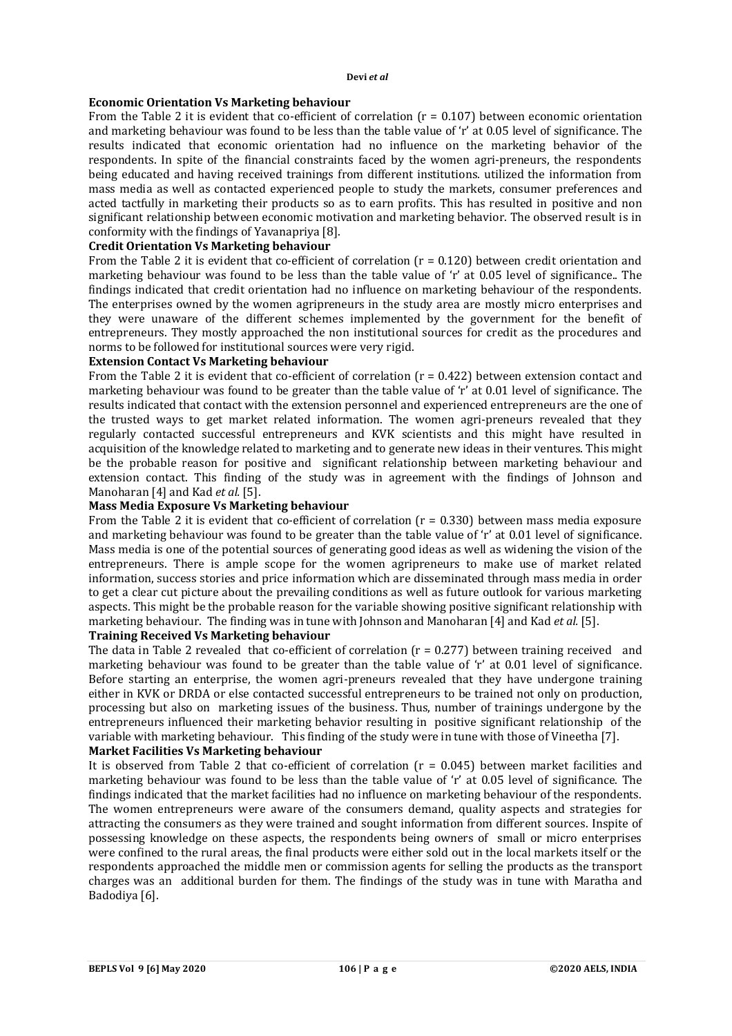### **Economic Orientation Vs Marketing behaviour**

From the Table 2 it is evident that co-efficient of correlation ( $r = 0.107$ ) between economic orientation and marketing behaviour was found to be less than the table value of 'r' at 0.05 level of significance. The results indicated that economic orientation had no influence on the marketing behavior of the respondents. In spite of the financial constraints faced by the women agri-preneurs, the respondents being educated and having received trainings from different institutions. utilized the information from mass media as well as contacted experienced people to study the markets, consumer preferences and acted tactfully in marketing their products so as to earn profits. This has resulted in positive and non significant relationship between economic motivation and marketing behavior. The observed result is in conformity with the findings of Yavanapriya [8].

## **Credit Orientation Vs Marketing behaviour**

From the Table 2 it is evident that co-efficient of correlation (r = 0.120) between credit orientation and marketing behaviour was found to be less than the table value of 'r' at 0.05 level of significance.. The findings indicated that credit orientation had no influence on marketing behaviour of the respondents. The enterprises owned by the women agripreneurs in the study area are mostly micro enterprises and they were unaware of the different schemes implemented by the government for the benefit of entrepreneurs. They mostly approached the non institutional sources for credit as the procedures and norms to be followed for institutional sources were very rigid.

## **Extension Contact Vs Marketing behaviour**

From the Table 2 it is evident that co-efficient of correlation  $(r = 0.422)$  between extension contact and marketing behaviour was found to be greater than the table value of 'r' at 0.01 level of significance. The results indicated that contact with the extension personnel and experienced entrepreneurs are the one of the trusted ways to get market related information. The women agri-preneurs revealed that they regularly contacted successful entrepreneurs and KVK scientists and this might have resulted in acquisition of the knowledge related to marketing and to generate new ideas in their ventures. This might be the probable reason for positive and significant relationship between marketing behaviour and extension contact. This finding of the study was in agreement with the findings of Johnson and Manoharan [4] and Kad *et al.* [5].

# **Mass Media Exposure Vs Marketing behaviour**

From the Table 2 it is evident that co-efficient of correlation (r = 0.330) between mass media exposure and marketing behaviour was found to be greater than the table value of 'r' at 0.01 level of significance. Mass media is one of the potential sources of generating good ideas as well as widening the vision of the entrepreneurs. There is ample scope for the women agripreneurs to make use of market related information, success stories and price information which are disseminated through mass media in order to get a clear cut picture about the prevailing conditions as well as future outlook for various marketing aspects. This might be the probable reason for the variable showing positive significant relationship with marketing behaviour. The finding was in tune with Johnson and Manoharan [4] and Kad *et al.* [5].

## **Training Received Vs Marketing behaviour**

The data in Table 2 revealed that co-efficient of correlation  $(r = 0.277)$  between training received and marketing behaviour was found to be greater than the table value of 'r' at 0.01 level of significance. Before starting an enterprise, the women agri-preneurs revealed that they have undergone training either in KVK or DRDA or else contacted successful entrepreneurs to be trained not only on production, processing but also on marketing issues of the business. Thus, number of trainings undergone by the entrepreneurs influenced their marketing behavior resulting in positive significant relationship of the variable with marketing behaviour. This finding of the study were in tune with those of Vineetha [7].

# **Market Facilities Vs Marketing behaviour**

It is observed from Table 2 that co-efficient of correlation  $(r = 0.045)$  between market facilities and marketing behaviour was found to be less than the table value of 'r' at 0.05 level of significance. The findings indicated that the market facilities had no influence on marketing behaviour of the respondents. The women entrepreneurs were aware of the consumers demand, quality aspects and strategies for attracting the consumers as they were trained and sought information from different sources. Inspite of possessing knowledge on these aspects, the respondents being owners of small or micro enterprises were confined to the rural areas, the final products were either sold out in the local markets itself or the respondents approached the middle men or commission agents for selling the products as the transport charges was an additional burden for them. The findings of the study was in tune with Maratha and Badodiya [6].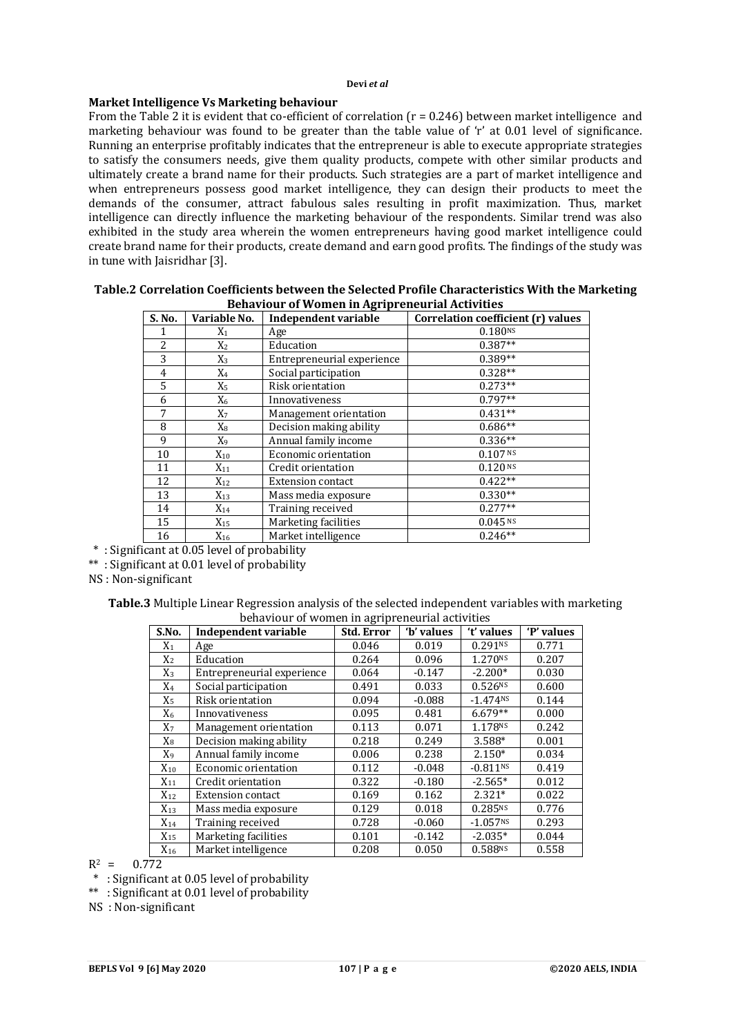# **Market Intelligence Vs Marketing behaviour**

From the Table 2 it is evident that  $\overline{\text{co}}$ -efficient of correlation ( $\overline{\text{r}}$  = 0.246) between market intelligence and marketing behaviour was found to be greater than the table value of 'r' at 0.01 level of significance. Running an enterprise profitably indicates that the entrepreneur is able to execute appropriate strategies to satisfy the consumers needs, give them quality products, compete with other similar products and ultimately create a brand name for their products. Such strategies are a part of market intelligence and when entrepreneurs possess good market intelligence, they can design their products to meet the demands of the consumer, attract fabulous sales resulting in profit maximization. Thus, market intelligence can directly influence the marketing behaviour of the respondents. Similar trend was also exhibited in the study area wherein the women entrepreneurs having good market intelligence could create brand name for their products, create demand and earn good profits. The findings of the study was in tune with Jaisridhar [3].

| Behaviour of women in Agripreheurial Activities |                |                             |                                    |  |  |  |
|-------------------------------------------------|----------------|-----------------------------|------------------------------------|--|--|--|
| S. No.                                          | Variable No.   | <b>Independent variable</b> | Correlation coefficient (r) values |  |  |  |
|                                                 | $\mathrm{X}_1$ | Age                         | 0.180NS                            |  |  |  |
| 2                                               | X2             | Education                   | $0.387**$                          |  |  |  |
| 3                                               | $X_3$          | Entrepreneurial experience  | $0.389**$                          |  |  |  |
| 4                                               | $X_4$          | Social participation        | $0.328**$                          |  |  |  |
| 5                                               | Х5             | Risk orientation            | $0.273**$                          |  |  |  |
| 6                                               | $\mathrm{X}_6$ | Innovativeness              | $0.797**$                          |  |  |  |
| 7                                               | X7             | Management orientation      | $0.431**$                          |  |  |  |
| 8                                               | $X_8$          | Decision making ability     | $0.686**$                          |  |  |  |
| 9                                               | X9             | Annual family income        | $0.336**$                          |  |  |  |
| 10                                              | $X_{10}$       | Economic orientation        | 0.107N                             |  |  |  |
| 11                                              | $X_{11}$       | Credit orientation          | 0.120 <sup>NS</sup>                |  |  |  |
| 12                                              | $X_{12}$       | <b>Extension contact</b>    | $0.422**$                          |  |  |  |
| 13                                              | $X_{13}$       | Mass media exposure         | $0.330**$                          |  |  |  |
| 14                                              | $X_{14}$       | Training received           | $0.277**$                          |  |  |  |
| 15                                              | $X_{15}$       | Marketing facilities        | $0.045$ <sub>NS</sub>              |  |  |  |
| 16                                              | $X_{16}$       | Market intelligence         | $0.246**$                          |  |  |  |

## **Table.2 Correlation Coefficients between the Selected Profile Characteristics With the Marketing Behaviour of Women in Agripreneurial Activities**

\* : Significant at 0.05 level of probability

\*\* : Significant at 0.01 level of probability

NS : Non-significant

**Table.3** Multiple Linear Regression analysis of the selected independent variables with marketing behaviour of women in agripreneurial activities

| S.No.          | Independent variable       | <b>Std. Error</b> | 'b' values | 't' values             | 'P' values |
|----------------|----------------------------|-------------------|------------|------------------------|------------|
| $X_1$          | Age                        | 0.046             | 0.019      | 0.291Ns                | 0.771      |
| $X_2$          | Education                  | 0.264             | 0.096      | 1.270 <sup>NS</sup>    | 0.207      |
| $X_3$          | Entrepreneurial experience | 0.064             | $-0.147$   | $-2.200*$              | 0.030      |
| $X_4$          | Social participation       | 0.491             | 0.033      | 0.526Ns                | 0.600      |
| $X_5$          | Risk orientation           | 0.094             | $-0.088$   | $-1.474NS$             | 0.144      |
| $X_6$          | Innovativeness             | 0.095             | 0.481      | $6.679**$              | 0.000      |
| X <sub>7</sub> | Management orientation     | 0.113             | 0.071      | 1.178NS                | 0.242      |
| $X_8$          | Decision making ability    | 0.218             | 0.249      | 3.588*                 | 0.001      |
| X <sub>9</sub> | Annual family income       | 0.006             | 0.238      | $2.150*$               | 0.034      |
| $X_{10}$       | Economic orientation       | 0.112             | $-0.048$   | $-0.811$ <sub>NS</sub> | 0.419      |
| $X_{11}$       | Credit orientation         | 0.322             | $-0.180$   | $-2.565*$              | 0.012      |
| $X_{12}$       | <b>Extension contact</b>   | 0.169             | 0.162      | $2.321*$               | 0.022      |
| $X_{13}$       | Mass media exposure        | 0.129             | 0.018      | 0.285NS                | 0.776      |
| $X_{14}$       | Training received          | 0.728             | $-0.060$   | $-1.057NS$             | 0.293      |
| $X_{15}$       | Marketing facilities       | 0.101             | $-0.142$   | $-2.035*$              | 0.044      |
| $X_{16}$       | Market intelligence        | 0.208             | 0.050      | 0.588NS                | 0.558      |

 $R^2 = 0.772$ 

\* : Significant at 0.05 level of probability

\*\* : Significant at 0.01 level of probability

NS : Non-significant